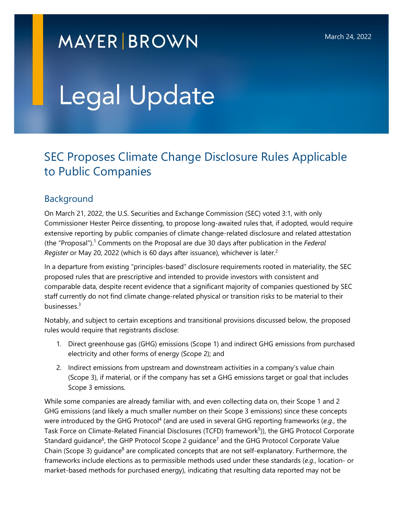# **MAYER BROWN**

# Legal Update

# SEC Proposes Climate Change Disclosure Rules Applicable to Public Companies

## Background

On March 21, 2022, the U.S. Securities and Exchange Commission (SEC) voted 3:1, with only Commissioner Hester Peirce dissenting, to propose long-awaited rules that, if adopted, would require extensive repor[tin](#page-12-0)g by public companies of climate change-related disclosure and related attestation (the "Pr[o](#page-12-1)posal").<sup>1</sup> Comments on the Proposal are due 30 days after publication in the *Federal Register* or May 20, 2022 (which is 60 days after issuance), whichever is later.<sup>2</sup>

In a departure from existing "principles-based" disclosure requirements rooted in materiality, the SEC proposed rules that are prescriptive and intended to provide investors with consistent and comparable data, despite recent evidence that a significant majority of companies questioned by SEC staff curre[ntl](#page-12-2)y do not find climate change-related physical or transition risks to be material to their businesses.<sup>3</sup>

Notably, and subject to certain exceptions and transitional provisions discussed below, the proposed rules would require that registrants disclose:

- 1. Direct greenhouse gas (GHG) emissions (Scope 1) and indirect GHG emissions from purchased electricity and other forms of energy (Scope 2); and
- 2. Indirect emissions from upstream and downstream activities in a company's value chain (Scope 3), if material, or if the company has set a GHG emissions target or goal that includes Scope 3 emissions.

While some companies are already familiar with, and even collecting data on, their Scope 1 and 2 GHG emissions (and likely a much sm[al](#page-12-3)ler number on their Scope 3 emissions) since these concepts were introduced by the GHG Protocol<sup>4</sup> (and are used in several GHG r[ep](#page-12-4)orting frameworks (e.g., the Task Force on Cli[ma](#page-12-5)te-Related Financial Disclosures (TC[FD](#page-12-5)) framework<sup>5</sup>)), the GHG Protocol Corporate Standard guidance<sup>6</sup>, the [GH](#page-12-6)P Protocol Scope 2 guidance<sup>7</sup> and the GHG Protocol Corporate Value Chain (Scope 3) guidance<sup>8</sup> are complicated concepts that are not self-explanatory. Furthermore, the frameworks include elections as to permissible methods used under these standards (*e.g.*, location- or market-based methods for purchased energy), indicating that resulting data reported may not be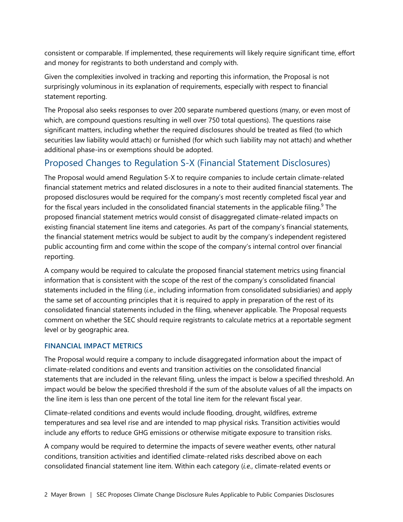consistent or comparable. If implemented, these requirements will likely require significant time, effort and money for registrants to both understand and comply with.

Given the complexities involved in tracking and reporting this information, the Proposal is not surprisingly voluminous in its explanation of requirements, especially with respect to financial statement reporting.

The Proposal also seeks responses to over 200 separate numbered questions (many, or even most of which, are compound questions resulting in well over 750 total questions). The questions raise significant matters, including whether the required disclosures should be treated as filed (to which securities law liability would attach) or furnished (for which such liability may not attach) and whether additional phase-ins or exemptions should be adopted.

## Proposed Changes to Regulation S-X (Financial Statement Disclosures)

The Proposal would amend Regulation S-X to require companies to include certain climate-related financial statement metrics and related disclosures in a note to their audited financial statements. The proposed disclosures would be required for the company's most recently completed fiscal [ye](#page-12-7)ar and for the fiscal years included in the consolidated financial statements in the applicable filing.<sup>9</sup> The proposed financial statement metrics would consist of disaggregated climate-related impacts on existing financial statement line items and categories. As part of the company's financial statements, the financial statement metrics would be subject to audit by the company's independent registered public accounting firm and come within the scope of the company's internal control over financial reporting.

A company would be required to calculate the proposed financial statement metrics using financial information that is consistent with the scope of the rest of the company's consolidated financial statements included in the filing (*i.e.*, including information from consolidated subsidiaries) and apply the same set of accounting principles that it is required to apply in preparation of the rest of its consolidated financial statements included in the filing, whenever applicable. The Proposal requests comment on whether the SEC should require registrants to calculate metrics at a reportable segment level or by geographic area.

#### **FINANCIAL IMPACT METRICS**

The Proposal would require a company to include disaggregated information about the impact of climate-related conditions and events and transition activities on the consolidated financial statements that are included in the relevant filing, unless the impact is below a specified threshold. An impact would be below the specified threshold if the sum of the absolute values of all the impacts on the line item is less than one percent of the total line item for the relevant fiscal year.

Climate-related conditions and events would include flooding, drought, wildfires, extreme temperatures and sea level rise and are intended to map physical risks. Transition activities would include any efforts to reduce GHG emissions or otherwise mitigate exposure to transition risks.

A company would be required to determine the impacts of severe weather events, other natural conditions, transition activities and identified climate-related risks described above on each consolidated financial statement line item. Within each category (*i.e.*, climate-related events or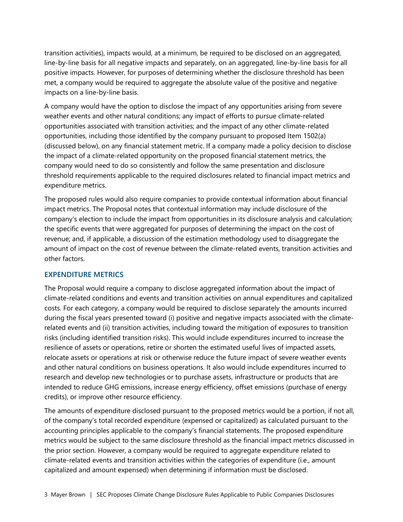transition activities), impacts would, at a minimum, be required to be disclosed on an aggregated, line-by-line basis for all negative impacts and separately, on an aggregated, line-by-line basis for all positive impacts. However, for purposes of determining whether the disclosure threshold has been met, a company would be required to aggregate the absolute value of the positive and negative impacts on a line-by-line basis.

A company would have the option to disclose the impact of any opportunities arising from severe weather events and other natural conditions; any impact of efforts to pursue climate-related opportunities associated with transition activities; and the impact of any other climate-related opportunities, including those identified by the company pursuant to proposed Item 1502(a) (discussed below), on any financial statement metric. If a company made a policy decision to disclose the impact of a climate-related opportunity on the proposed financial statement metrics, the company would need to do so consistently and follow the same presentation and disclosure threshold requirements applicable to the required disclosures related to financial impact metrics and expenditure metrics.

The proposed rules would also require companies to provide contextual information about financial impact metrics. The Proposal notes that contextual information may include disclosure of the company's election to include the impact from opportunities in its disclosure analysis and calculation; the specific events that were aggregated for purposes of determining the impact on the cost of revenue; and, if applicable, a discussion of the estimation methodology used to disaggregate the amount of impact on the cost of revenue between the climate-related events, transition activities and other factors.

#### **EXPENDITURE METRICS**

The Proposal would require a company to disclose aggregated information about the impact of climate-related conditions and events and transition activities on annual expenditures and capitalized costs. For each category, a company would be required to disclose separately the amounts incurred during the fiscal years presented toward (i) positive and negative impacts associated with the climaterelated events and (ii) transition activities, including toward the mitigation of exposures to transition risks (including identified transition risks). This would include expenditures incurred to increase the resilience of assets or operations, retire or shorten the estimated useful lives of impacted assets, relocate assets or operations at risk or otherwise reduce the future impact of severe weather events and other natural conditions on business operations. It also would include expenditures incurred to research and develop new technologies or to purchase assets, infrastructure or products that are intended to reduce GHG emissions, increase energy efficiency, offset emissions (purchase of energy credits), or improve other resource efficiency.

The amounts of expenditure disclosed pursuant to the proposed metrics would be a portion, if not all, of the company's total recorded expenditure (expensed or capitalized) as calculated pursuant to the accounting principles applicable to the company's financial statements. The proposed expenditure metrics would be subject to the same disclosure threshold as the financial impact metrics discussed in the prior section. However, a company would be required to aggregate expenditure related to climate-related events and transition activities within the categories of expenditure (i.e., amount capitalized and amount expensed) when determining if information must be disclosed.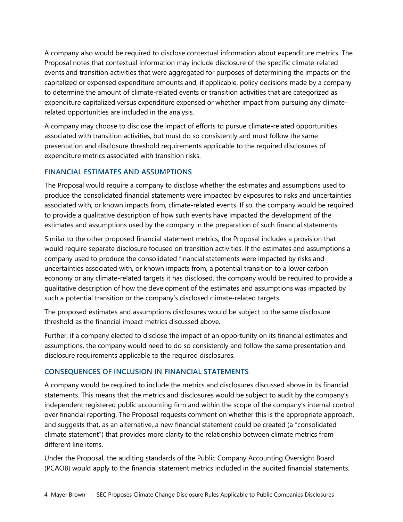A company also would be required to disclose contextual information about expenditure metrics. The Proposal notes that contextual information may include disclosure of the specific climate-related events and transition activities that were aggregated for purposes of determining the impacts on the capitalized or expensed expenditure amounts and, if applicable, policy decisions made by a company to determine the amount of climate-related events or transition activities that are categorized as expenditure capitalized versus expenditure expensed or whether impact from pursuing any climaterelated opportunities are included in the analysis.

A company may choose to disclose the impact of efforts to pursue climate-related opportunities associated with transition activities, but must do so consistently and must follow the same presentation and disclosure threshold requirements applicable to the required disclosures of expenditure metrics associated with transition risks.

#### **FINANCIAL ESTIMATES AND ASSUMPTIONS**

The Proposal would require a company to disclose whether the estimates and assumptions used to produce the consolidated financial statements were impacted by exposures to risks and uncertainties associated with, or known impacts from, climate-related events. If so, the company would be required to provide a qualitative description of how such events have impacted the development of the estimates and assumptions used by the company in the preparation of such financial statements.

Similar to the other proposed financial statement metrics, the Proposal includes a provision that would require separate disclosure focused on transition activities. If the estimates and assumptions a company used to produce the consolidated financial statements were impacted by risks and uncertainties associated with, or known impacts from, a potential transition to a lower carbon economy or any climate-related targets it has disclosed, the company would be required to provide a qualitative description of how the development of the estimates and assumptions was impacted by such a potential transition or the company's disclosed climate-related targets.

The proposed estimates and assumptions disclosures would be subject to the same disclosure threshold as the financial impact metrics discussed above.

Further, if a company elected to disclose the impact of an opportunity on its financial estimates and assumptions, the company would need to do so consistently and follow the same presentation and disclosure requirements applicable to the required disclosures.

#### **CONSEQUENCES OF INCLUSION IN FINANCIAL STATEMENTS**

A company would be required to include the metrics and disclosures discussed above in its financial statements. This means that the metrics and disclosures would be subject to audit by the company's independent registered public accounting firm and within the scope of the company's internal control over financial reporting. The Proposal requests comment on whether this is the appropriate approach, and suggests that, as an alternative, a new financial statement could be created (a "consolidated climate statement") that provides more clarity to the relationship between climate metrics from different line items.

Under the Proposal, the auditing standards of the Public Company Accounting Oversight Board (PCAOB) would apply to the financial statement metrics included in the audited financial statements.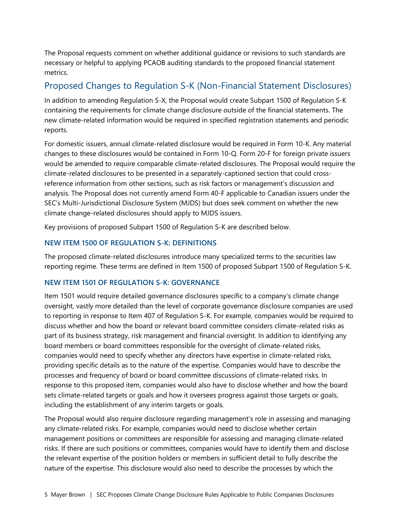The Proposal requests comment on whether additional guidance or revisions to such standards are necessary or helpful to applying PCAOB auditing standards to the proposed financial statement metrics.

#### Proposed Changes to Regulation S-K (Non-Financial Statement Disclosures)

In addition to amending Regulation S-X, the Proposal would create Subpart 1500 of Regulation S-K containing the requirements for climate change disclosure outside of the financial statements. The new climate-related information would be required in specified registration statements and periodic reports.

For domestic issuers, annual climate-related disclosure would be required in Form 10-K. Any material changes to these disclosures would be contained in Form 10-Q. Form 20-F for foreign private issuers would be amended to require comparable climate-related disclosures. The Proposal would require the climate-related disclosures to be presented in a separately-captioned section that could crossreference information from other sections, such as risk factors or management's discussion and analysis. The Proposal does not currently amend Form 40-F applicable to Canadian issuers under the SEC's Multi-Jurisdictional Disclosure System (MJDS) but does seek comment on whether the new climate change-related disclosures should apply to MJDS issuers.

Key provisions of proposed Subpart 1500 of Regulation S-K are described below.

#### **NEW ITEM 1500 OF REGULATION S-K: DEFINITIONS**

The proposed climate-related disclosures introduce many specialized terms to the securities law reporting regime. These terms are defined in Item 1500 of proposed Subpart 1500 of Regulation S-K.

#### **NEW ITEM 1501 OF REGULATION S-K: GOVERNANCE**

Item 1501 would require detailed governance disclosures specific to a company's climate change oversight, vastly more detailed than the level of corporate governance disclosure companies are used to reporting in response to Item 407 of Regulation S-K. For example, companies would be required to discuss whether and how the board or relevant board committee considers climate-related risks as part of its business strategy, risk management and financial oversight. In addition to identifying any board members or board committees responsible for the oversight of climate-related risks, companies would need to specify whether any directors have expertise in climate-related risks, providing specific details as to the nature of the expertise. Companies would have to describe the processes and frequency of board or board committee discussions of climate-related risks. In response to this proposed item, companies would also have to disclose whether and how the board sets climate-related targets or goals and how it oversees progress against those targets or goals, including the establishment of any interim targets or goals.

The Proposal would also require disclosure regarding management's role in assessing and managing any climate-related risks. For example, companies would need to disclose whether certain management positions or committees are responsible for assessing and managing climate-related risks. If there are such positions or committees, companies would have to identify them and disclose the relevant expertise of the position holders or members in sufficient detail to fully describe the nature of the expertise. This disclosure would also need to describe the processes by which the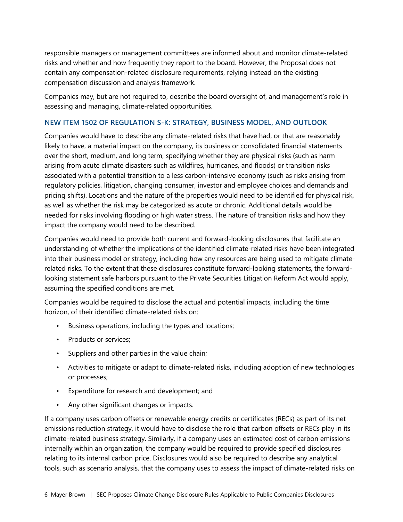responsible managers or management committees are informed about and monitor climate-related risks and whether and how frequently they report to the board. However, the Proposal does not contain any compensation-related disclosure requirements, relying instead on the existing compensation discussion and analysis framework.

Companies may, but are not required to, describe the board oversight of, and management's role in assessing and managing, climate-related opportunities.

#### **NEW ITEM 1502 OF REGULATION S-K: STRATEGY, BUSINESS MODEL, AND OUTLOOK**

Companies would have to describe any climate-related risks that have had, or that are reasonably likely to have, a material impact on the company, its business or consolidated financial statements over the short, medium, and long term, specifying whether they are physical risks (such as harm arising from acute climate disasters such as wildfires, hurricanes, and floods) or transition risks associated with a potential transition to a less carbon-intensive economy (such as risks arising from regulatory policies, litigation, changing consumer, investor and employee choices and demands and pricing shifts). Locations and the nature of the properties would need to be identified for physical risk, as well as whether the risk may be categorized as acute or chronic. Additional details would be needed for risks involving flooding or high water stress. The nature of transition risks and how they impact the company would need to be described.

Companies would need to provide both current and forward-looking disclosures that facilitate an understanding of whether the implications of the identified climate-related risks have been integrated into their business model or strategy, including how any resources are being used to mitigate climaterelated risks. To the extent that these disclosures constitute forward-looking statements, the forwardlooking statement safe harbors pursuant to the Private Securities Litigation Reform Act would apply, assuming the specified conditions are met.

Companies would be required to disclose the actual and potential impacts, including the time horizon, of their identified climate-related risks on:

- Business operations, including the types and locations;
- Products or services;
- Suppliers and other parties in the value chain;
- Activities to mitigate or adapt to climate-related risks, including adoption of new technologies or processes;
- Expenditure for research and development; and
- Any other significant changes or impacts.

If a company uses carbon offsets or renewable energy credits or certificates (RECs) as part of its net emissions reduction strategy, it would have to disclose the role that carbon offsets or RECs play in its climate-related business strategy. Similarly, if a company uses an estimated cost of carbon emissions internally within an organization, the company would be required to provide specified disclosures relating to its internal carbon price. Disclosures would also be required to describe any analytical tools, such as scenario analysis, that the company uses to assess the impact of climate-related risks on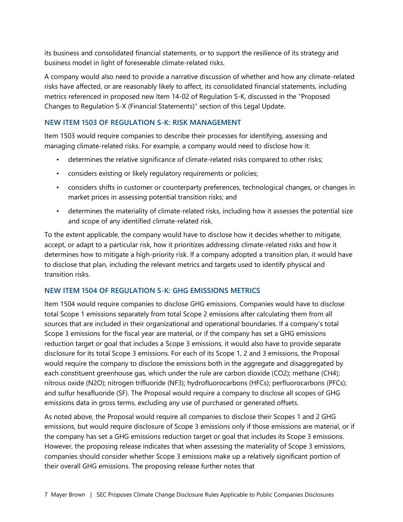its business and consolidated financial statements, or to support the resilience of its strategy and business model in light of foreseeable climate-related risks.

A company would also need to provide a narrative discussion of whether and how any climate-related risks have affected, or are reasonably likely to affect, its consolidated financial statements, including metrics referenced in proposed new Item 14-02 of Regulation S-K, discussed in the "Proposed Changes to Regulation S-X (Financial Statements)" section of this Legal Update.

#### **NEW ITEM 1503 OF REGULATION S-K: RISK MANAGEMENT**

Item 1503 would require companies to describe their processes for identifying, assessing and managing climate-related risks. For example, a company would need to disclose how it:

- determines the relative significance of climate-related risks compared to other risks;
- considers existing or likely regulatory requirements or policies;
- considers shifts in customer or counterparty preferences, technological changes, or changes in market prices in assessing potential transition risks; and
- determines the materiality of climate-related risks, including how it assesses the potential size and scope of any identified climate-related risk.

To the extent applicable, the company would have to disclose how it decides whether to mitigate, accept, or adapt to a particular risk, how it prioritizes addressing climate-related risks and how it determines how to mitigate a high-priority risk. If a company adopted a transition plan, it would have to disclose that plan, including the relevant metrics and targets used to identify physical and transition risks.

#### **NEW ITEM 1504 OF REGULATION S-K: GHG EMISSIONS METRICS**

Item 1504 would require companies to disclose GHG emissions. Companies would have to disclose total Scope 1 emissions separately from total Scope 2 emissions after calculating them from all sources that are included in their organizational and operational boundaries. If a company's total Scope 3 emissions for the fiscal year are material, or if the company has set a GHG emissions reduction target or goal that includes a Scope 3 emissions, it would also have to provide separate disclosure for its total Scope 3 emissions. For each of its Scope 1, 2 and 3 emissions, the Proposal would require the company to disclose the emissions both in the aggregate and disaggregated by each constituent greenhouse gas, which under the rule are carbon dioxide (CO2); methane (CH4); nitrous oxide (N2O); nitrogen trifluoride (NF3); hydrofluorocarbons (HFCs); perfluorocarbons (PFCs); and sulfur hexafluoride (SF). The Proposal would require a company to disclose all scopes of GHG emissions data in gross terms, excluding any use of purchased or generated offsets.

As noted above, the Proposal would require all companies to disclose their Scopes 1 and 2 GHG emissions, but would require disclosure of Scope 3 emissions only if those emissions are material, or if the company has set a GHG emissions reduction target or goal that includes its Scope 3 emissions. However, the proposing release indicates that when assessing the materiality of Scope 3 emissions, companies should consider whether Scope 3 emissions make up a relatively significant portion of their overall GHG emissions. The proposing release further notes that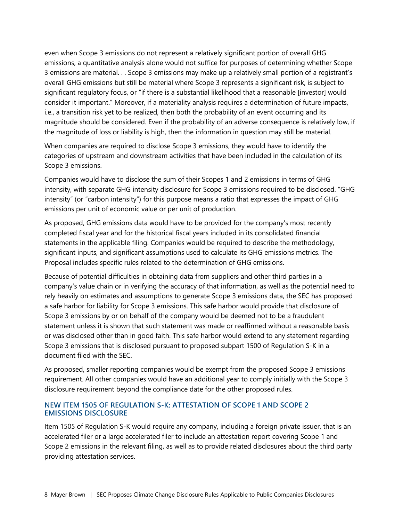even when Scope 3 emissions do not represent a relatively significant portion of overall GHG emissions, a quantitative analysis alone would not suffice for purposes of determining whether Scope 3 emissions are material. . . Scope 3 emissions may make up a relatively small portion of a registrant's overall GHG emissions but still be material where Scope 3 represents a significant risk, is subject to significant regulatory focus, or "if there is a substantial likelihood that a reasonable [investor] would consider it important." Moreover, if a materiality analysis requires a determination of future impacts, i.e., a transition risk yet to be realized, then both the probability of an event occurring and its magnitude should be considered. Even if the probability of an adverse consequence is relatively low, if the magnitude of loss or liability is high, then the information in question may still be material.

When companies are required to disclose Scope 3 emissions, they would have to identify the categories of upstream and downstream activities that have been included in the calculation of its Scope 3 emissions.

Companies would have to disclose the sum of their Scopes 1 and 2 emissions in terms of GHG intensity, with separate GHG intensity disclosure for Scope 3 emissions required to be disclosed. "GHG intensity" (or "carbon intensity") for this purpose means a ratio that expresses the impact of GHG emissions per unit of economic value or per unit of production.

As proposed, GHG emissions data would have to be provided for the company's most recently completed fiscal year and for the historical fiscal years included in its consolidated financial statements in the applicable filing. Companies would be required to describe the methodology, significant inputs, and significant assumptions used to calculate its GHG emissions metrics. The Proposal includes specific rules related to the determination of GHG emissions.

Because of potential difficulties in obtaining data from suppliers and other third parties in a company's value chain or in verifying the accuracy of that information, as well as the potential need to rely heavily on estimates and assumptions to generate Scope 3 emissions data, the SEC has proposed a safe harbor for liability for Scope 3 emissions. This safe harbor would provide that disclosure of Scope 3 emissions by or on behalf of the company would be deemed not to be a fraudulent statement unless it is shown that such statement was made or reaffirmed without a reasonable basis or was disclosed other than in good faith. This safe harbor would extend to any statement regarding Scope 3 emissions that is disclosed pursuant to proposed subpart 1500 of Regulation S-K in a document filed with the SEC.

As proposed, smaller reporting companies would be exempt from the proposed Scope 3 emissions requirement. All other companies would have an additional year to comply initially with the Scope 3 disclosure requirement beyond the compliance date for the other proposed rules.

#### **NEW ITEM 1505 OF REGULATION S-K: ATTESTATION OF SCOPE 1 AND SCOPE 2 EMISSIONS DISCLOSURE**

Item 1505 of Regulation S-K would require any company, including a foreign private issuer, that is an accelerated filer or a large accelerated filer to include an attestation report covering Scope 1 and Scope 2 emissions in the relevant filing, as well as to provide related disclosures about the third party providing attestation services.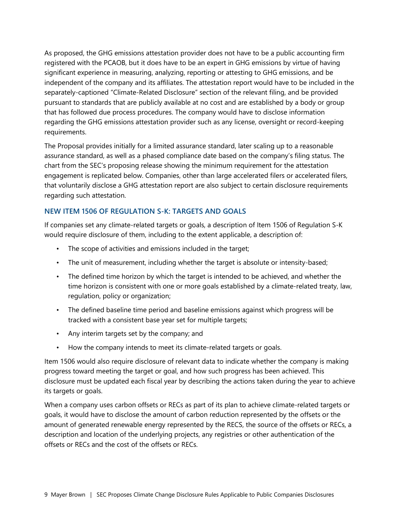As proposed, the GHG emissions attestation provider does not have to be a public accounting firm registered with the PCAOB, but it does have to be an expert in GHG emissions by virtue of having significant experience in measuring, analyzing, reporting or attesting to GHG emissions, and be independent of the company and its affiliates. The attestation report would have to be included in the separately-captioned "Climate-Related Disclosure" section of the relevant filing, and be provided pursuant to standards that are publicly available at no cost and are established by a body or group that has followed due process procedures. The company would have to disclose information regarding the GHG emissions attestation provider such as any license, oversight or record-keeping requirements.

The Proposal provides initially for a limited assurance standard, later scaling up to a reasonable assurance standard, as well as a phased compliance date based on the company's filing status. The chart from the SEC's proposing release showing the minimum requirement for the attestation engagement is replicated below. Companies, other than large accelerated filers or accelerated filers, that voluntarily disclose a GHG attestation report are also subject to certain disclosure requirements regarding such attestation.

#### **NEW ITEM 1506 OF REGULATION S-K: TARGETS AND GOALS**

If companies set any climate-related targets or goals, a description of Item 1506 of Regulation S-K would require disclosure of them, including to the extent applicable, a description of:

- The scope of activities and emissions included in the target;
- The unit of measurement, including whether the target is absolute or intensity-based;
- The defined time horizon by which the target is intended to be achieved, and whether the time horizon is consistent with one or more goals established by a climate-related treaty, law, regulation, policy or organization;
- The defined baseline time period and baseline emissions against which progress will be tracked with a consistent base year set for multiple targets;
- Any interim targets set by the company; and
- How the company intends to meet its climate-related targets or goals.

Item 1506 would also require disclosure of relevant data to indicate whether the company is making progress toward meeting the target or goal, and how such progress has been achieved. This disclosure must be updated each fiscal year by describing the actions taken during the year to achieve its targets or goals.

When a company uses carbon offsets or RECs as part of its plan to achieve climate-related targets or goals, it would have to disclose the amount of carbon reduction represented by the offsets or the amount of generated renewable energy represented by the RECS, the source of the offsets or RECs, a description and location of the underlying projects, any registries or other authentication of the offsets or RECs and the cost of the offsets or RECs.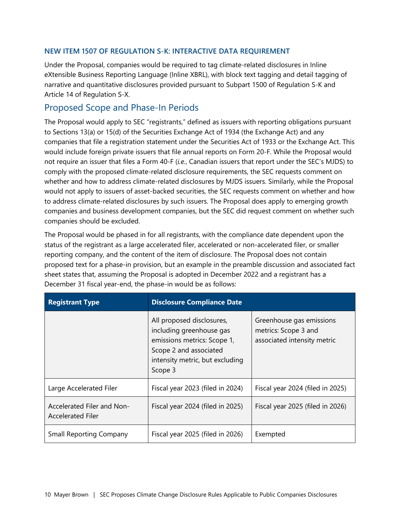#### **NEW ITEM 1507 OF REGULATION S-K: INTERACTIVE DATA REQUIREMENT**

Under the Proposal, companies would be required to tag climate-related disclosures in Inline eXtensible Business Reporting Language (Inline XBRL), with block text tagging and detail tagging of narrative and quantitative disclosures provided pursuant to Subpart 1500 of Regulation S-K and Article 14 of Regulation S-X.

#### Proposed Scope and Phase-In Periods

The Proposal would apply to SEC "registrants," defined as issuers with reporting obligations pursuant to Sections 13(a) or 15(d) of the Securities Exchange Act of 1934 (the Exchange Act) and any companies that file a registration statement under the Securities Act of 1933 or the Exchange Act. This would include foreign private issuers that file annual reports on Form 20-F. While the Proposal would not require an issuer that files a Form 40-F (*i.e.*, Canadian issuers that report under the SEC's MJDS) to comply with the proposed climate-related disclosure requirements, the SEC requests comment on whether and how to address climate-related disclosures by MJDS issuers. Similarly, while the Proposal would not apply to issuers of asset-backed securities, the SEC requests comment on whether and how to address climate-related disclosures by such issuers. The Proposal does apply to emerging growth companies and business development companies, but the SEC did request comment on whether such companies should be excluded.

The Proposal would be phased in for all registrants, with the compliance date dependent upon the status of the registrant as a large accelerated filer, accelerated or non-accelerated filer, or smaller reporting company, and the content of the item of disclosure. The Proposal does not contain proposed text for a phase-in provision, but an example in the preamble discussion and associated fact sheet states that, assuming the Proposal is adopted in December 2022 and a registrant has a December 31 fiscal year-end, the phase-in would be as follows:

| <b>Registrant Type</b>                                 | <b>Disclosure Compliance Date</b>                                                                                                                            |                                                                                 |  |
|--------------------------------------------------------|--------------------------------------------------------------------------------------------------------------------------------------------------------------|---------------------------------------------------------------------------------|--|
|                                                        | All proposed disclosures,<br>including greenhouse gas<br>emissions metrics: Scope 1,<br>Scope 2 and associated<br>intensity metric, but excluding<br>Scope 3 | Greenhouse gas emissions<br>metrics: Scope 3 and<br>associated intensity metric |  |
| Large Accelerated Filer                                | Fiscal year 2023 (filed in 2024)                                                                                                                             | Fiscal year 2024 (filed in 2025)                                                |  |
| Accelerated Filer and Non-<br><b>Accelerated Filer</b> | Fiscal year 2024 (filed in 2025)                                                                                                                             | Fiscal year 2025 (filed in 2026)                                                |  |
| <b>Small Reporting Company</b>                         | Fiscal year 2025 (filed in 2026)                                                                                                                             | Exempted                                                                        |  |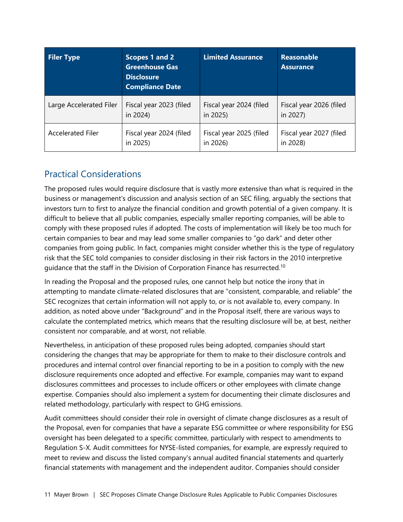| <b>Filer Type</b>        | Scopes 1 and 2<br><b>Greenhouse Gas</b><br><b>Disclosure</b><br><b>Compliance Date</b> | <b>Limited Assurance</b> | <b>Reasonable</b><br><b>Assurance</b> |
|--------------------------|----------------------------------------------------------------------------------------|--------------------------|---------------------------------------|
| Large Accelerated Filer  | Fiscal year 2023 (filed                                                                | Fiscal year 2024 (filed  | Fiscal year 2026 (filed               |
|                          | in 2024)                                                                               | in 2025)                 | in 2027)                              |
| <b>Accelerated Filer</b> | Fiscal year 2024 (filed                                                                | Fiscal year 2025 (filed  | Fiscal year 2027 (filed               |
|                          | in 2025)                                                                               | in 2026)                 | in 2028)                              |

# Practical Considerations

The proposed rules would require disclosure that is vastly more extensive than what is required in the business or management's discussion and analysis section of an SEC filing, arguably the sections that investors turn to first to analyze the financial condition and growth potential of a given company. It is difficult to believe that all public companies, especially smaller reporting companies, will be able to comply with these proposed rules if adopted. The costs of implementation will likely be too much for certain companies to bear and may lead some smaller companies to "go dark" and deter other companies from going public. In fact, companies might consider whether this is the type of regulatory risk that the SEC told companies to consider disclosing in their risk factors in the 2010 interpretive guidance that the staff in the Division of Corporation Finance has resurrected.<sup>[10](#page-12-8)</sup>

In reading the Proposal and the proposed rules, one cannot help but notice the irony that in attempting to mandate climate-related disclosures that are "consistent, comparable, and reliable" the SEC recognizes that certain information will not apply to, or is not available to, every company. In addition, as noted above under "Background" and in the Proposal itself, there are various ways to calculate the contemplated metrics, which means that the resulting disclosure will be, at best, neither consistent nor comparable, and at worst, not reliable.

Nevertheless, in anticipation of these proposed rules being adopted, companies should start considering the changes that may be appropriate for them to make to their disclosure controls and procedures and internal control over financial reporting to be in a position to comply with the new disclosure requirements once adopted and effective. For example, companies may want to expand disclosures committees and processes to include officers or other employees with climate change expertise. Companies should also implement a system for documenting their climate disclosures and related methodology, particularly with respect to GHG emissions.

Audit committees should consider their role in oversight of climate change disclosures as a result of the Proposal, even for companies that have a separate ESG committee or where responsibility for ESG oversight has been delegated to a specific committee, particularly with respect to amendments to Regulation S-X. Audit committees for NYSE-listed companies, for example, are expressly required to meet to review and discuss the listed company's annual audited financial statements and quarterly financial statements with management and the independent auditor. Companies should consider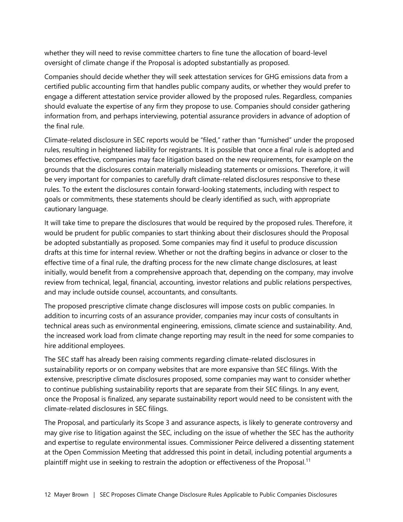whether they will need to revise committee charters to fine tune the allocation of board-level oversight of climate change if the Proposal is adopted substantially as proposed.

Companies should decide whether they will seek attestation services for GHG emissions data from a certified public accounting firm that handles public company audits, or whether they would prefer to engage a different attestation service provider allowed by the proposed rules. Regardless, companies should evaluate the expertise of any firm they propose to use. Companies should consider gathering information from, and perhaps interviewing, potential assurance providers in advance of adoption of the final rule.

Climate-related disclosure in SEC reports would be "filed," rather than "furnished" under the proposed rules, resulting in heightened liability for registrants. It is possible that once a final rule is adopted and becomes effective, companies may face litigation based on the new requirements, for example on the grounds that the disclosures contain materially misleading statements or omissions. Therefore, it will be very important for companies to carefully draft climate-related disclosures responsive to these rules. To the extent the disclosures contain forward-looking statements, including with respect to goals or commitments, these statements should be clearly identified as such, with appropriate cautionary language.

It will take time to prepare the disclosures that would be required by the proposed rules. Therefore, it would be prudent for public companies to start thinking about their disclosures should the Proposal be adopted substantially as proposed. Some companies may find it useful to produce discussion drafts at this time for internal review. Whether or not the drafting begins in advance or closer to the effective time of a final rule, the drafting process for the new climate change disclosures, at least initially, would benefit from a comprehensive approach that, depending on the company, may involve review from technical, legal, financial, accounting, investor relations and public relations perspectives, and may include outside counsel, accountants, and consultants.

The proposed prescriptive climate change disclosures will impose costs on public companies. In addition to incurring costs of an assurance provider, companies may incur costs of consultants in technical areas such as environmental engineering, emissions, climate science and sustainability. And, the increased work load from climate change reporting may result in the need for some companies to hire additional employees.

The SEC staff has already been raising comments regarding climate-related disclosures in sustainability reports or on company websites that are more expansive than SEC filings. With the extensive, prescriptive climate disclosures proposed, some companies may want to consider whether to continue publishing sustainability reports that are separate from their SEC filings. In any event, once the Proposal is finalized, any separate sustainability report would need to be consistent with the climate-related disclosures in SEC filings.

The Proposal, and particularly its Scope 3 and assurance aspects, is likely to generate controversy and may give rise to litigation against the SEC, including on the issue of whether the SEC has the authority and expertise to regulate environmental issues. Commissioner Peirce delivered a dissenting statement at the Open Commission Meeting that addressed this point in detail, including potential arguments a plaintiff might use in seeking to restrain the adoption or effectiveness of the Proposal.<sup>[11](#page-12-9)</sup>